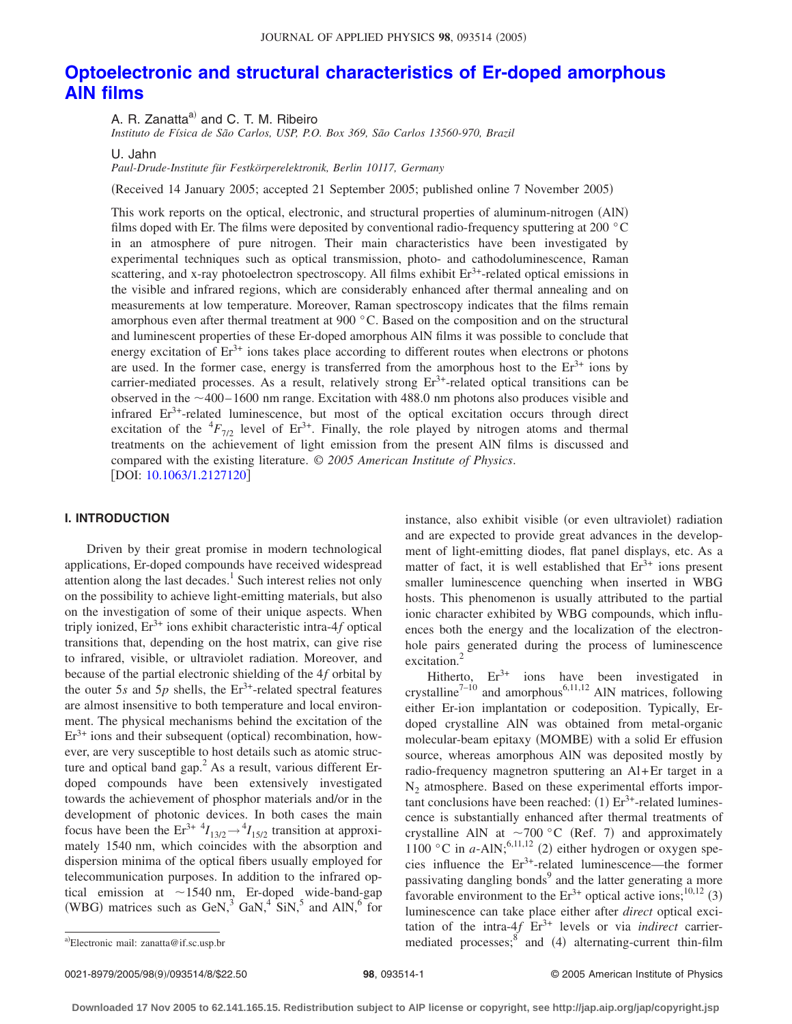# **[Optoelectronic and structural characteristics of Er-doped amorphous](http://dx.doi.org/10.1063/1.2127120) [AlN films](http://dx.doi.org/10.1063/1.2127120)**

A. R. Zanatta<sup>a)</sup> and C. T. M. Ribeiro

*Instituto de Física de São Carlos, USP, P.O. Box 369, São Carlos 13560-970, Brazil*

U. Jahn

*Paul-Drude-Institute für Festkörperelektronik, Berlin 10117, Germany*

Received 14 January 2005; accepted 21 September 2005; published online 7 November 2005-

This work reports on the optical, electronic, and structural properties of aluminum-nitrogen (AlN) films doped with Er. The films were deposited by conventional radio-frequency sputtering at 200 °C in an atmosphere of pure nitrogen. Their main characteristics have been investigated by experimental techniques such as optical transmission, photo- and cathodoluminescence, Raman scattering, and x-ray photoelectron spectroscopy. All films exhibit  $Er<sup>3+</sup>$ -related optical emissions in the visible and infrared regions, which are considerably enhanced after thermal annealing and on measurements at low temperature. Moreover, Raman spectroscopy indicates that the films remain amorphous even after thermal treatment at 900 °C. Based on the composition and on the structural and luminescent properties of these Er-doped amorphous AlN films it was possible to conclude that energy excitation of  $Er<sup>3+</sup>$  ions takes place according to different routes when electrons or photons are used. In the former case, energy is transferred from the amorphous host to the  $Er<sup>3+</sup>$  ions by carrier-mediated processes. As a result, relatively strong Er<sup>3+</sup>-related optical transitions can be observed in the  $\sim$  400–1600 nm range. Excitation with 488.0 nm photons also produces visible and infrared  $Er<sup>3+</sup>-related luminescence, but most of the optical excitation occurs through direct$ excitation of the  ${}^{4}F_{7/2}$  level of Er<sup>3+</sup>. Finally, the role played by nitrogen atoms and thermal treatments on the achievement of light emission from the present AlN films is discussed and compared with the existing literature. © *2005 American Institute of Physics*. [DOI: [10.1063/1.2127120](http://dx.doi.org/10.1063/1.2127120)]

## **I. INTRODUCTION**

Driven by their great promise in modern technological applications, Er-doped compounds have received widespread attention along the last decades.<sup>1</sup> Such interest relies not only on the possibility to achieve light-emitting materials, but also on the investigation of some of their unique aspects. When triply ionized,  $Er^{3+}$  ions exhibit characteristic intra- $4f$  optical transitions that, depending on the host matrix, can give rise to infrared, visible, or ultraviolet radiation. Moreover, and because of the partial electronic shielding of the 4*f* orbital by the outer  $5s$  and  $5p$  shells, the  $Er^{3+}$ -related spectral features are almost insensitive to both temperature and local environment. The physical mechanisms behind the excitation of the  $Er<sup>3+</sup>$  ions and their subsequent (optical) recombination, however, are very susceptible to host details such as atomic structure and optical band gap.<sup>2</sup> As a result, various different Erdoped compounds have been extensively investigated towards the achievement of phosphor materials and/or in the development of photonic devices. In both cases the main focus have been the  $Er^{3+4}I_{13/2} \rightarrow {}^{4}I_{15/2}$  transition at approximately 1540 nm, which coincides with the absorption and dispersion minima of the optical fibers usually employed for telecommunication purposes. In addition to the infrared optical emission at  $\sim$  1540 nm, Er-doped wide-band-gap (WBG) matrices such as GeN,<sup>3</sup> GaN,<sup>4</sup> SiN,<sup>5</sup> and AlN,<sup>6</sup> for

instance, also exhibit visible (or even ultraviolet) radiation and are expected to provide great advances in the development of light-emitting diodes, flat panel displays, etc. As a matter of fact, it is well established that  $Er<sup>3+</sup>$  ions present smaller luminescence quenching when inserted in WBG hosts. This phenomenon is usually attributed to the partial ionic character exhibited by WBG compounds, which influences both the energy and the localization of the electronhole pairs generated during the process of luminescence excitation.<sup>2</sup>

Hitherto,  $Er^{3+}$  ions have been investigated in crystalline<sup>7-10</sup> and amorphous<sup>6,11,12</sup> AlN matrices, following either Er-ion implantation or codeposition. Typically, Erdoped crystalline AlN was obtained from metal-organic molecular-beam epitaxy (MOMBE) with a solid Er effusion source, whereas amorphous AlN was deposited mostly by radio-frequency magnetron sputtering an Al+Er target in a  $N<sub>2</sub>$  atmosphere. Based on these experimental efforts important conclusions have been reached:  $(1) Er^{3+}$ -related luminescence is substantially enhanced after thermal treatments of crystalline AlN at  $\sim$ 700 °C (Ref. 7) and approximately 1100 °C in  $a$ -AlN;<sup>6,11,12</sup> (2) either hydrogen or oxygen species influence the  $Er^{3+}$ -related luminescence—the former passivating dangling bonds<sup>9</sup> and the latter generating a more favorable environment to the  $Er^{3+}$  optical active ions;<sup>10,12</sup> (3) luminescence can take place either after *direct* optical excitation of the intra- $4f$  Er<sup>3+</sup> levels or via *indirect* carriera)Electronic mail: zanatta@if.sc.usp.br mediated processes; Electronic mail: zanatta@if.sc.usp.br **and 4-1 and 4-1 and 4-1 and 4-1 alternating-current thin-film** 

0021-8979/2005/98(9)/093514/8/\$22.50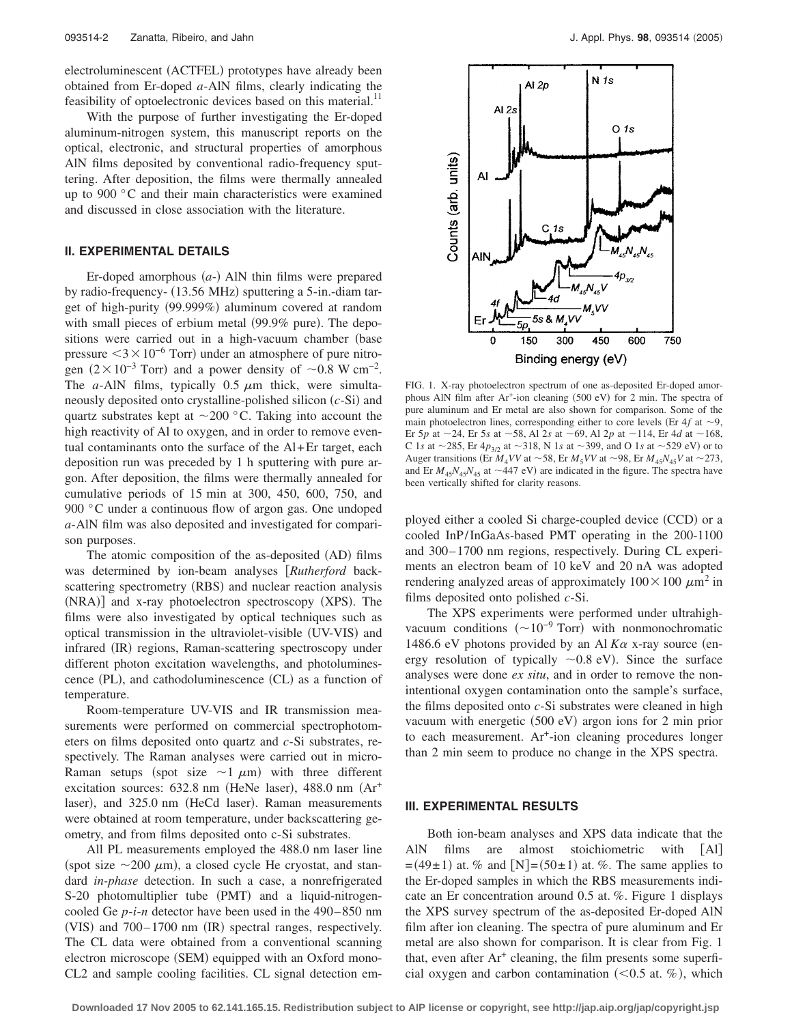electroluminescent (ACTFEL) prototypes have already been obtained from Er-doped *a*-AlN films, clearly indicating the feasibility of optoelectronic devices based on this material.<sup>11</sup>

With the purpose of further investigating the Er-doped aluminum-nitrogen system, this manuscript reports on the optical, electronic, and structural properties of amorphous AlN films deposited by conventional radio-frequency sputtering. After deposition, the films were thermally annealed up to 900 °C and their main characteristics were examined and discussed in close association with the literature.

# **II. EXPERIMENTAL DETAILS**

Er-doped amorphous  $(a)$  AlN thin films were prepared by radio-frequency- (13.56 MHz) sputtering a 5-in.-diam target of high-purity (99.999%) aluminum covered at random with small pieces of erbium metal (99.9% pure). The depositions were carried out in a high-vacuum chamber (base pressure  $\leq 3 \times 10^{-6}$  Torr) under an atmosphere of pure nitrogen  $(2 \times 10^{-3}$  Torr) and a power density of ~0.8 W cm<sup>-2</sup>. The *a*-AlN films, typically  $0.5 \mu m$  thick, were simultaneously deposited onto crystalline-polished silicon (c-Si) and quartz substrates kept at  $\sim$  200 °C. Taking into account the high reactivity of Al to oxygen, and in order to remove eventual contaminants onto the surface of the Al+Er target, each deposition run was preceded by 1 h sputtering with pure argon. After deposition, the films were thermally annealed for cumulative periods of 15 min at 300, 450, 600, 750, and 900 °C under a continuous flow of argon gas. One undoped *a*-AlN film was also deposited and investigated for comparison purposes.

The atomic composition of the as-deposited (AD) films was determined by ion-beam analyses *Rutherford* backscattering spectrometry (RBS) and nuclear reaction analysis (NRA)] and x-ray photoelectron spectroscopy (XPS). The films were also investigated by optical techniques such as optical transmission in the ultraviolet-visible (UV-VIS) and infrared (IR) regions, Raman-scattering spectroscopy under different photon excitation wavelengths, and photoluminescence (PL), and cathodoluminescence (CL) as a function of temperature.

Room-temperature UV-VIS and IR transmission measurements were performed on commercial spectrophotometers on films deposited onto quartz and *c*-Si substrates, respectively. The Raman analyses were carried out in micro-Raman setups (spot size  $\sim$ 1  $\mu$ m) with three different excitation sources: 632.8 nm (HeNe laser), 488.0 nm (Ar<sup>+</sup> laser), and 325.0 nm (HeCd laser). Raman measurements were obtained at room temperature, under backscattering geometry, and from films deposited onto c-Si substrates.

All PL measurements employed the 488.0 nm laser line (spot size  $\sim$  200  $\mu$ m), a closed cycle He cryostat, and standard *in-phase* detection. In such a case, a nonrefrigerated S-20 photomultiplier tube (PMT) and a liquid-nitrogencooled Ge *p*-*i*-*n* detector have been used in the 490– 850 nm (VIS) and 700-1700 nm (IR) spectral ranges, respectively. The CL data were obtained from a conventional scanning electron microscope (SEM) equipped with an Oxford mono-CL2 and sample cooling facilities. CL signal detection em-



FIG. 1. X-ray photoelectron spectrum of one as-deposited Er-doped amorphous AlN film after Ar<sup>+</sup>-ion cleaning (500 eV) for 2 min. The spectra of pure aluminum and Er metal are also shown for comparison. Some of the main photoelectron lines, corresponding either to core levels (Er  $4f$  at  $\sim$ 9, Er 5*p* at  $\sim$  24, Er 5*s* at  $\sim$  58, Al 2*s* at  $\sim$  69, Al 2*p* at  $\sim$  114, Er 4*d* at  $\sim$  168, C 1*s* at  $\sim$  285, Er 4 $p_{3/2}$  at  $\sim$  318, N 1*s* at  $\sim$  399, and O 1*s* at  $\sim$  529 eV) or to Auger transitions (Er  $M_4VV$  at  $\sim$  58, Er  $M_5VV$  at  $\sim$  98, Er  $M_{45}N_{45}V$  at  $\sim$  273, and Er  $M_{45}N_{45}N_{45}$  at  $\sim$  447 eV) are indicated in the figure. The spectra have been vertically shifted for clarity reasons.

ployed either a cooled Si charge-coupled device (CCD) or a cooled InP/InGaAs-based PMT operating in the 200-1100 and 300– 1700 nm regions, respectively. During CL experiments an electron beam of 10 keV and 20 nA was adopted rendering analyzed areas of approximately  $100 \times 100 \ \mu m^2$  in films deposited onto polished *c*-Si.

The XPS experiments were performed under ultrahighvacuum conditions  $({\sim}10^{-9} \text{ Torr})$  with nonmonochromatic 1486.6 eV photons provided by an Al  $K\alpha$  x-ray source (energy resolution of typically  $\sim 0.8$  eV). Since the surface analyses were done *ex situ*, and in order to remove the nonintentional oxygen contamination onto the sample's surface, the films deposited onto *c*-Si substrates were cleaned in high vacuum with energetic (500 eV) argon ions for 2 min prior to each measurement. Ar+-ion cleaning procedures longer than 2 min seem to produce no change in the XPS spectra.

#### **III. EXPERIMENTAL RESULTS**

Both ion-beam analyses and XPS data indicate that the AlN films are almost stoichiometric with [Al]  $=(49\pm 1)$  at. % and [N]=(50 $\pm 1$ ) at. %. The same applies to the Er-doped samples in which the RBS measurements indicate an Er concentration around 0.5 at. %. Figure 1 displays the XPS survey spectrum of the as-deposited Er-doped AlN film after ion cleaning. The spectra of pure aluminum and Er metal are also shown for comparison. It is clear from Fig. 1 that, even after  $Ar^+$  cleaning, the film presents some superficial oxygen and carbon contamination  $(< 0.5$  at. %), which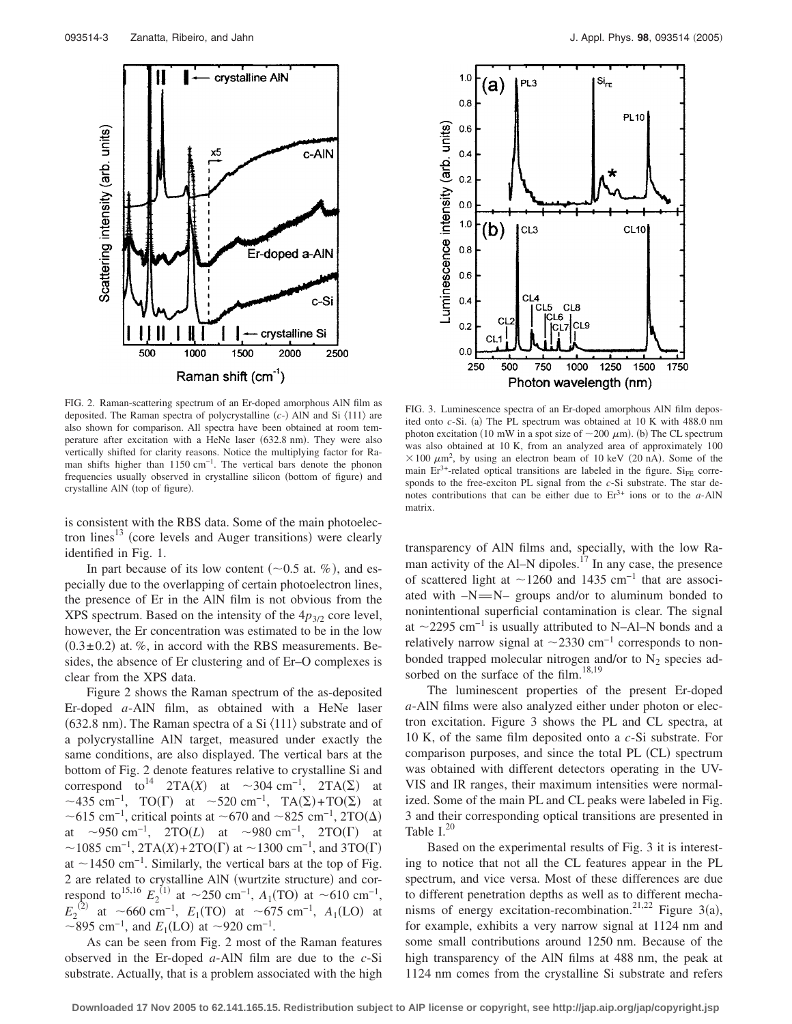

FIG. 2. Raman-scattering spectrum of an Er-doped amorphous AlN film as deposited. The Raman spectra of polycrystalline (c-) AlN and Si  $\langle 111 \rangle$  are also shown for comparison. All spectra have been obtained at room temperature after excitation with a HeNe laser (632.8 nm). They were also vertically shifted for clarity reasons. Notice the multiplying factor for Raman shifts higher than 1150 cm<sup>-1</sup>. The vertical bars denote the phonon frequencies usually observed in crystalline silicon (bottom of figure) and crystalline AlN (top of figure).

is consistent with the RBS data. Some of the main photoelectron lines<sup>13</sup> (core levels and Auger transitions) were clearly identified in Fig. 1.

In part because of its low content ( $\sim$ 0.5 at. %), and especially due to the overlapping of certain photoelectron lines, the presence of Er in the AlN film is not obvious from the XPS spectrum. Based on the intensity of the  $4p_{3/2}$  core level, however, the Er concentration was estimated to be in the low  $(0.3 \pm 0.2)$  at. %, in accord with the RBS measurements. Besides, the absence of Er clustering and of Er–O complexes is clear from the XPS data.

Figure 2 shows the Raman spectrum of the as-deposited Er-doped *a*-AlN film, as obtained with a HeNe laser (632.8 nm). The Raman spectra of a Si  $\langle 111 \rangle$  substrate and of a polycrystalline AlN target, measured under exactly the same conditions, are also displayed. The vertical bars at the bottom of Fig. 2 denote features relative to crystalline Si and correspond to<sup>14</sup> 2TA(X) at ~304 cm<sup>-1</sup>, 2TA( $\Sigma$ ) at ~435 cm<sup>-1</sup>, TO( $\Gamma$ ) at ~520 cm<sup>-1</sup>, TA( $\Sigma$ )+TO( $\Sigma$ ) at ~615 cm<sup>-1</sup>, critical points at ~670 and ~825 cm<sup>-1</sup>, 2TO( $\Delta$ ) at  $\sim$ 950 cm<sup>-1</sup>, 2TO(*L*) at  $\sim$ 980 cm<sup>-1</sup>, 2TO( $\Gamma$ ) at  $\sim$ 1085 cm<sup>-1</sup>, 2TA(X)+2TO( $\Gamma$ ) at  $\sim$ 1300 cm<sup>-1</sup>, and 3TO( $\Gamma$ ) at  $\sim$ 1450 cm<sup>-1</sup>. Similarly, the vertical bars at the top of Fig. 2 are related to crystalline AlN (wurtzite structure) and correspond to<sup>15,16</sup>  $E_2^{(1)}$  at ~250 cm<sup>-1</sup>,  $A_1$ (TO) at ~610 cm<sup>-1</sup>,  $E_2^{(2)}$  at ~660 cm<sup>-1</sup>,  $E_1(TO)$  at ~675 cm<sup>-1</sup>,  $A_1(LO)$  at ~895 cm<sup>-1</sup>, and  $E_1$ (LO) at ~920 cm<sup>-1</sup>.

As can be seen from Fig. 2 most of the Raman features observed in the Er-doped *a*-AlN film are due to the *c*-Si substrate. Actually, that is a problem associated with the high



FIG. 3. Luminescence spectra of an Er-doped amorphous AlN film deposited onto *c*-Si. (a) The PL spectrum was obtained at 10 K with 488.0 nm photon excitation (10 mW in a spot size of  $\sim$ 200  $\mu$ m). (b) The CL spectrum was also obtained at 10 K, from an analyzed area of approximately 100  $\times$  100  $\mu$ m<sup>2</sup>, by using an electron beam of 10 keV (20 nA). Some of the main  $Er^{3+}$ -related optical transitions are labeled in the figure. Si<sub>FE</sub> corresponds to the free-exciton PL signal from the *c*-Si substrate. The star denotes contributions that can be either due to  $Er<sup>3+</sup>$  ions or to the *a*-AlN matrix.

transparency of AlN films and, specially, with the low Raman activity of the Al–N dipoles.<sup>17</sup> In any case, the presence of scattered light at  $\sim$ 1260 and 1435 cm<sup>-1</sup> that are associated with  $-N=N-$  groups and/or to aluminum bonded to nonintentional superficial contamination is clear. The signal at  $\sim$ 2295 cm<sup>-1</sup> is usually attributed to N–Al–N bonds and a relatively narrow signal at  $\sim$ 2330 cm<sup>-1</sup> corresponds to nonbonded trapped molecular nitrogen and/or to  $N_2$  species adsorbed on the surface of the film.<sup>18,19</sup>

The luminescent properties of the present Er-doped *a*-AlN films were also analyzed either under photon or electron excitation. Figure 3 shows the PL and CL spectra, at 10 K, of the same film deposited onto a *c*-Si substrate. For comparison purposes, and since the total PL (CL) spectrum was obtained with different detectors operating in the UV-VIS and IR ranges, their maximum intensities were normalized. Some of the main PL and CL peaks were labeled in Fig. 3 and their corresponding optical transitions are presented in Table  $I^{20}$ 

Based on the experimental results of Fig. 3 it is interesting to notice that not all the CL features appear in the PL spectrum, and vice versa. Most of these differences are due to different penetration depths as well as to different mechanisms of energy excitation-recombination.<sup>21,22</sup> Figure 3(a), for example, exhibits a very narrow signal at 1124 nm and some small contributions around 1250 nm. Because of the high transparency of the AlN films at 488 nm, the peak at 1124 nm comes from the crystalline Si substrate and refers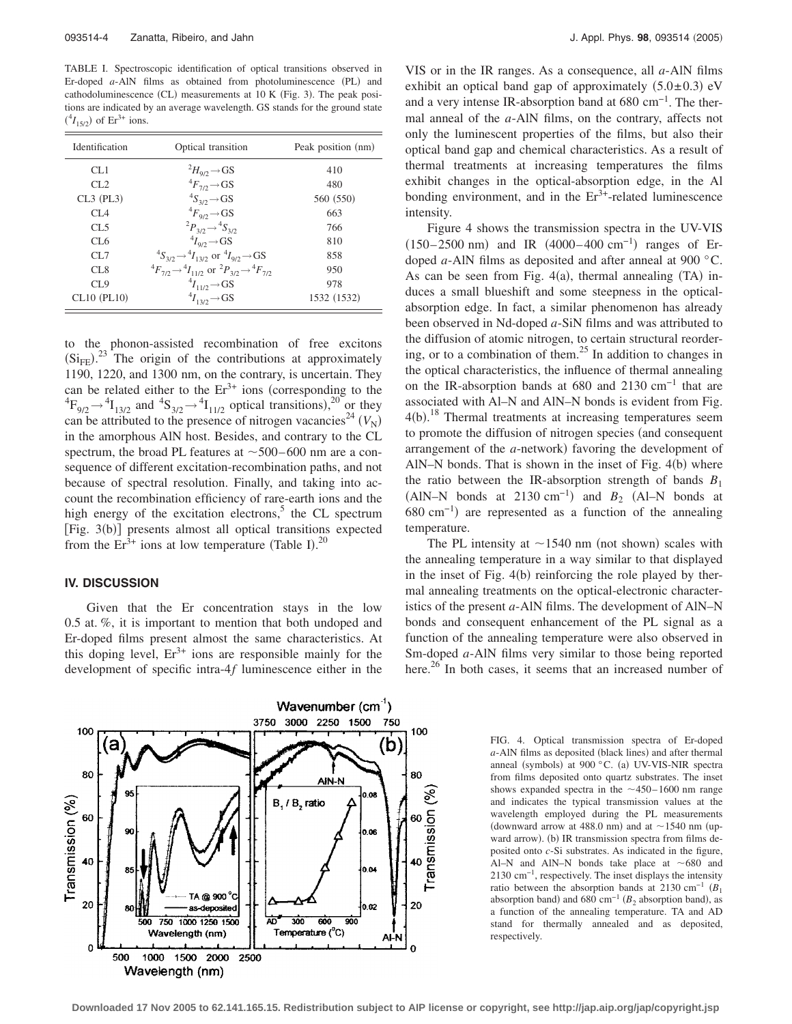TABLE I. Spectroscopic identification of optical transitions observed in Er-doped a-AlN films as obtained from photoluminescence (PL) and cathodoluminescence (CL) measurements at 10 K (Fig. 3). The peak positions are indicated by an average wavelength. GS stands for the ground state  $(^{4}I_{15/2})$  of Er<sup>3+</sup> ions.

| Identification    | Optical transition                                                                      | Peak position (nm) |
|-------------------|-----------------------------------------------------------------------------------------|--------------------|
| CL1               | $^{2}H_{9/2} \rightarrow GS$                                                            | 410                |
| CL2               | ${}^4F_{7/2}$ $\rightarrow$ GS                                                          | 480                |
| $CL3$ (PL3)       | ${}^4S_{3/2}$ $\rightarrow$ GS                                                          | 560 (550)          |
| CI <sub>A</sub>   | ${}^4F_{9/2}$ $\rightarrow$ GS                                                          | 663                |
| CL5               | ${}^2P_{3/2} \rightarrow {}^4S_{3/2}$                                                   | 766                |
| CL <sub>6</sub>   | $^{4}I_{97}$ $\rightarrow$ GS                                                           | 810                |
| CL7               | ${}^4S_{3/2} \rightarrow {}^4I_{13/2}$ or ${}^4I_{9/2} \rightarrow GS$                  | 858                |
| CL8               | ${}^{4}F_{7/2} \rightarrow {}^{4}I_{11/2}$ or ${}^{2}P_{3/2} \rightarrow {}^{4}F_{7/2}$ | 950                |
| CL9               | $^{4}I_{11/2}$ $\rightarrow$ GS                                                         | 978                |
| $CL10$ ( $PL10$ ) | ${}^4I_{13/2}$ $\rightarrow$ GS                                                         | 1532 (1532)        |

to the phonon-assisted recombination of free excitons  $(Si_{FE})$ .<sup>23</sup> The origin of the contributions at approximately 1190, 1220, and 1300 nm, on the contrary, is uncertain. They can be related either to the  $Er<sup>3+</sup>$  ions (corresponding to the  ${}^{4}F_{9/2} \rightarrow {}^{4}I_{13/2}$  and  ${}^{4}S_{3/2} \rightarrow {}^{4}I_{11/2}$  optical transitions),<sup>20</sup> or they can be attributed to the presence of nitrogen vacancies<sup>24</sup>  $(V_N)$ in the amorphous AlN host. Besides, and contrary to the CL spectrum, the broad PL features at  $\sim$  500–600 nm are a consequence of different excitation-recombination paths, and not because of spectral resolution. Finally, and taking into account the recombination efficiency of rare-earth ions and the high energy of the excitation electrons, $5$  the CL spectrum [Fig. 3(b)] presents almost all optical transitions expected from the  $Er^{3+}$  ions at low temperature (Table I).<sup>20</sup>

## **IV. DISCUSSION**

Given that the Er concentration stays in the low 0.5 at. %, it is important to mention that both undoped and Er-doped films present almost the same characteristics. At this doping level,  $Er^{3+}$  ions are responsible mainly for the development of specific intra-4*f* luminescence either in the



VIS or in the IR ranges. As a consequence, all *a*-AlN films exhibit an optical band gap of approximately  $(5.0 \pm 0.3)$  eV and a very intense IR-absorption band at 680 cm−1. The thermal anneal of the *a*-AlN films, on the contrary, affects not only the luminescent properties of the films, but also their optical band gap and chemical characteristics. As a result of thermal treatments at increasing temperatures the films exhibit changes in the optical-absorption edge, in the Al bonding environment, and in the  $Er^{3+}$ -related luminescence intensity.

Figure 4 shows the transmission spectra in the UV-VIS  $(150-2500 \text{ nm})$  and IR  $(4000-400 \text{ cm}^{-1})$  ranges of Erdoped *a*-AlN films as deposited and after anneal at 900 °C. As can be seen from Fig.  $4(a)$ , thermal annealing (TA) induces a small blueshift and some steepness in the opticalabsorption edge. In fact, a similar phenomenon has already been observed in Nd-doped *a*-SiN films and was attributed to the diffusion of atomic nitrogen, to certain structural reordering, or to a combination of them. $^{25}$  In addition to changes in the optical characteristics, the influence of thermal annealing on the IR-absorption bands at 680 and 2130 cm−1 that are associated with Al–N and AlN–N bonds is evident from Fig. 4(b).<sup>18</sup> Thermal treatments at increasing temperatures seem to promote the diffusion of nitrogen species (and consequent arrangement of the *a*-network) favoring the development of AlN-N bonds. That is shown in the inset of Fig.  $4(b)$  where the ratio between the IR-absorption strength of bands  $B_1$ (AlN–N bonds at 2130 cm<sup>-1</sup>) and  $B_2$  (Al–N bonds at  $680 \text{ cm}^{-1}$ ) are represented as a function of the annealing temperature.

The PL intensity at  $\sim$ 1540 nm (not shown) scales with the annealing temperature in a way similar to that displayed in the inset of Fig. 4(b) reinforcing the role played by thermal annealing treatments on the optical-electronic characteristics of the present *a*-AlN films. The development of AlN–N bonds and consequent enhancement of the PL signal as a function of the annealing temperature were also observed in Sm-doped *a*-AlN films very similar to those being reported here.<sup>26</sup> In both cases, it seems that an increased number of

> FIG. 4. Optical transmission spectra of Er-doped a-AlN films as deposited (black lines) and after thermal anneal (symbols) at 900 °C. (a) UV-VIS-NIR spectra from films deposited onto quartz substrates. The inset shows expanded spectra in the  $\sim$ 450–1600 nm range and indicates the typical transmission values at the wavelength employed during the PL measurements (downward arrow at 488.0 nm) and at  $\sim$  1540 nm (upward arrow). (b) IR transmission spectra from films deposited onto *c*-Si substrates. As indicated in the figure, Al–N and AlN–N bonds take place at  $\sim 680$  and 2130 cm−1, respectively. The inset displays the intensity ratio between the absorption bands at 2130 cm<sup>-1</sup>  $(B_1$ absorption band) and 680 cm<sup>-1</sup> ( $B_2$  absorption band), as a function of the annealing temperature. TA and AD stand for thermally annealed and as deposited, respectively.

**Downloaded 17 Nov 2005 to 62.141.165.15. Redistribution subject to AIP license or copyright, see http://jap.aip.org/jap/copyright.jsp**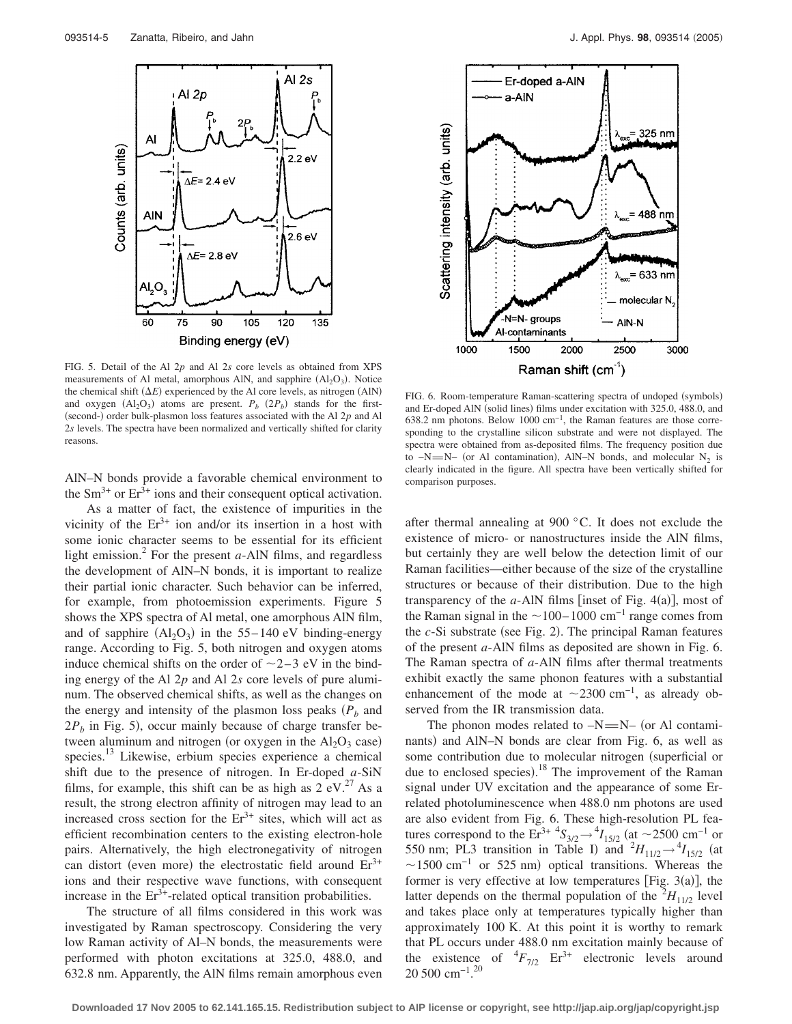

FIG. 5. Detail of the Al 2*p* and Al 2*s* core levels as obtained from XPS measurements of Al metal, amorphous AlN, and sapphire (Al<sub>2</sub>O<sub>3</sub>). Notice the chemical shift  $(\Delta E)$  experienced by the Al core levels, as nitrogen (AlN) and oxygen  $(Al_2O_3)$  atoms are present.  $P_b$   $(2P_b)$  stands for the first-(second-) order bulk-plasmon loss features associated with the Al 2p and Al 2*s* levels. The spectra have been normalized and vertically shifted for clarity reasons.

AlN–N bonds provide a favorable chemical environment to the  $\rm Sm^{3+}$  or  $\rm Er^{3+}$  ions and their consequent optical activation.

As a matter of fact, the existence of impurities in the vicinity of the  $Er^{3+}$  ion and/or its insertion in a host with some ionic character seems to be essential for its efficient light emission.<sup>2</sup> For the present  $a$ -AlN films, and regardless the development of AlN–N bonds, it is important to realize their partial ionic character. Such behavior can be inferred, for example, from photoemission experiments. Figure 5 shows the XPS spectra of Al metal, one amorphous AlN film, and of sapphire  $(Al_2O_3)$  in the 55–140 eV binding-energy range. According to Fig. 5, both nitrogen and oxygen atoms induce chemical shifts on the order of  $\sim$ 2-3 eV in the binding energy of the Al 2*p* and Al 2*s* core levels of pure aluminum. The observed chemical shifts, as well as the changes on the energy and intensity of the plasmon loss peaks  $(P_b)$  and  $2P_b$  in Fig. 5), occur mainly because of charge transfer between aluminum and nitrogen (or oxygen in the  $Al_2O_3$  case) species.<sup>13</sup> Likewise, erbium species experience a chemical shift due to the presence of nitrogen. In Er-doped *a*-SiN films, for example, this shift can be as high as  $2 \text{ eV}^{27}$  As a result, the strong electron affinity of nitrogen may lead to an increased cross section for the  $Er<sup>3+</sup>$  sites, which will act as efficient recombination centers to the existing electron-hole pairs. Alternatively, the high electronegativity of nitrogen can distort (even more) the electrostatic field around  $Er<sup>3+</sup>$ ions and their respective wave functions, with consequent increase in the  $Er<sup>3+</sup>$ -related optical transition probabilities.

The structure of all films considered in this work was investigated by Raman spectroscopy. Considering the very low Raman activity of Al–N bonds, the measurements were performed with photon excitations at 325.0, 488.0, and 632.8 nm. Apparently, the AlN films remain amorphous even



FIG. 6. Room-temperature Raman-scattering spectra of undoped (symbols) and Er-doped AlN (solid lines) films under excitation with 325.0, 488.0, and 638.2 nm photons. Below 1000 cm−1, the Raman features are those corresponding to the crystalline silicon substrate and were not displayed. The spectra were obtained from as-deposited films. The frequency position due to  $-N=M-$  (or Al contamination), AlN–N bonds, and molecular N<sub>2</sub> is clearly indicated in the figure. All spectra have been vertically shifted for comparison purposes.

after thermal annealing at 900 °C. It does not exclude the existence of micro- or nanostructures inside the AlN films, but certainly they are well below the detection limit of our Raman facilities—either because of the size of the crystalline structures or because of their distribution. Due to the high transparency of the  $a$ -AlN films [inset of Fig.  $4(a)$ ], most of the Raman signal in the  $\sim$  100– 1000 cm<sup>-1</sup> range comes from the *c*-Si substrate (see Fig. 2). The principal Raman features of the present *a*-AlN films as deposited are shown in Fig. 6. The Raman spectra of *a*-AlN films after thermal treatments exhibit exactly the same phonon features with a substantial enhancement of the mode at  $\sim$ 2300 cm<sup>-1</sup>, as already observed from the IR transmission data.

The phonon modes related to  $-N=N-$  (or Al contaminants) and AlN–N bonds are clear from Fig. 6, as well as some contribution due to molecular nitrogen (superficial or due to enclosed species).<sup>18</sup> The improvement of the Raman signal under UV excitation and the appearance of some Errelated photoluminescence when 488.0 nm photons are used are also evident from Fig. 6. These high-resolution PL features correspond to the  $Er^{3+4}S_{3/2} \rightarrow {}^{4}I_{15/2}$  (at ~2500 cm<sup>-1</sup> or 550 nm; PL3 transition in Table I) and  ${}^{2}H_{11/2} \rightarrow {}^{4}I_{15/2}$  (at  $\sim$ 1500 cm<sup>-1</sup> or 525 nm) optical transitions. Whereas the former is very effective at low temperatures [Fig.  $3(a)$ ], the latter depends on the thermal population of the  ${}^{2}H_{11/2}$  level and takes place only at temperatures typically higher than approximately 100 K. At this point it is worthy to remark that PL occurs under 488.0 nm excitation mainly because of the existence of  ${}^{4}F_{7/2}$  Er<sup>3+</sup> electronic levels around 20 500 cm−1. 20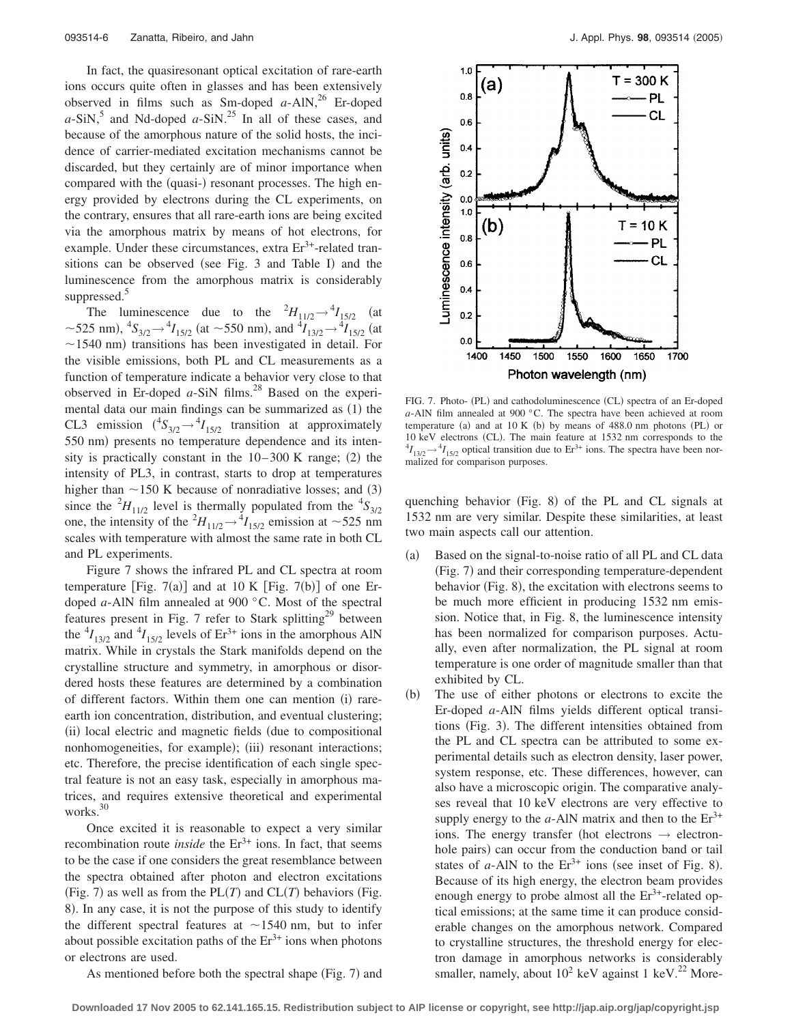In fact, the quasiresonant optical excitation of rare-earth ions occurs quite often in glasses and has been extensively observed in films such as Sm-doped  $a$ -AlN,<sup>26</sup> Er-doped  $a-SiN$ ,<sup>5</sup> and Nd-doped  $a-SiN$ .<sup>25</sup> In all of these cases, and because of the amorphous nature of the solid hosts, the incidence of carrier-mediated excitation mechanisms cannot be discarded, but they certainly are of minor importance when compared with the (quasi-) resonant processes. The high energy provided by electrons during the CL experiments, on the contrary, ensures that all rare-earth ions are being excited via the amorphous matrix by means of hot electrons, for example. Under these circumstances, extra  $Er<sup>3+</sup>$ -related transitions can be observed (see Fig. 3 and Table I) and the luminescence from the amorphous matrix is considerably suppressed.<sup>5</sup>

The luminescence due to the  ${}^{2}H_{11/2} \rightarrow {}^{4}I_{15/2}$  (at ~525 nm),  ${}^4S_{3/2}$   $\rightarrow {}^4I_{15/2}$  (at ~550 nm), and  ${}^4I_{13/2}$   $\rightarrow {}^4I_{15/2}$  (at  $\sim$ 1540 nm) transitions has been investigated in detail. For the visible emissions, both PL and CL measurements as a function of temperature indicate a behavior very close to that observed in Er-doped  $a$ -SiN films.<sup>28</sup> Based on the experimental data our main findings can be summarized as (1) the CL3 emission  $({}^4S_{3/2} \rightarrow {}^4I_{15/2}$  transition at approximately 550 nm) presents no temperature dependence and its intensity is practically constant in the  $10-300$  K range; (2) the intensity of PL3, in contrast, starts to drop at temperatures higher than  $\sim$  150 K because of nonradiative losses; and (3) since the  ${}^{2}H_{11/2}$  level is thermally populated from the  ${}^{4}S_{3/2}$ one, the intensity of the  ${}^{2}H_{11/2} \rightarrow {}^{4}I_{15/2}$  emission at ~525 nm scales with temperature with almost the same rate in both CL and PL experiments.

Figure 7 shows the infrared PL and CL spectra at room temperature [Fig.  $7(a)$ ] and at 10 K [Fig.  $7(b)$ ] of one Erdoped *a*-AlN film annealed at 900 °C. Most of the spectral features present in Fig. 7 refer to Stark splitting<sup>29</sup> between the  ${}^{4}I_{13/2}$  and  ${}^{4}I_{15/2}$  levels of  $Er^{3+}$  ions in the amorphous AlN matrix. While in crystals the Stark manifolds depend on the crystalline structure and symmetry, in amorphous or disordered hosts these features are determined by a combination of different factors. Within them one can mention (i) rareearth ion concentration, distribution, and eventual clustering; (ii) local electric and magnetic fields (due to compositional nonhomogeneities, for example); (iii) resonant interactions; etc. Therefore, the precise identification of each single spectral feature is not an easy task, especially in amorphous matrices, and requires extensive theoretical and experimental works.<sup>30</sup>

Once excited it is reasonable to expect a very similar recombination route *inside* the  $Er^{3+}$  ions. In fact, that seems to be the case if one considers the great resemblance between the spectra obtained after photon and electron excitations (Fig. 7) as well as from the  $PL(T)$  and  $CL(T)$  behaviors (Fig. 8). In any case, it is not the purpose of this study to identify the different spectral features at  $\sim$ 1540 nm, but to infer about possible excitation paths of the  $Er<sup>3+</sup>$  ions when photons or electrons are used.



FIG. 7. Photo- (PL) and cathodoluminescence (CL) spectra of an Er-doped *a*-AlN film annealed at 900 °C. The spectra have been achieved at room temperature (a) and at  $10 K$  (b) by means of  $488.0$  nm photons (PL) or 10 keV electrons (CL). The main feature at 1532 nm corresponds to the  $^{4}I_{13/2} \rightarrow ^{4}I_{15/2}$  optical transition due to Er<sup>3+</sup> ions. The spectra have been normalized for comparison purposes.

quenching behavior (Fig. 8) of the PL and CL signals at 1532 nm are very similar. Despite these similarities, at least two main aspects call our attention.

- $(a)$  Based on the signal-to-noise ratio of all PL and CL data (Fig. 7) and their corresponding temperature-dependent behavior (Fig. 8), the excitation with electrons seems to be much more efficient in producing 1532 nm emission. Notice that, in Fig. 8, the luminescence intensity has been normalized for comparison purposes. Actually, even after normalization, the PL signal at room temperature is one order of magnitude smaller than that exhibited by CL.
- $(b)$  The use of either photons or electrons to excite the Er-doped *a*-AlN films yields different optical transitions (Fig. 3). The different intensities obtained from the PL and CL spectra can be attributed to some experimental details such as electron density, laser power, system response, etc. These differences, however, can also have a microscopic origin. The comparative analyses reveal that 10 keV electrons are very effective to supply energy to the  $a$ -AlN matrix and then to the  $Er^{3+}$ ions. The energy transfer (hot electrons  $\rightarrow$  electronhole pairs) can occur from the conduction band or tail states of  $a$ -AlN to the  $Er^{3+}$  ions (see inset of Fig. 8). Because of its high energy, the electron beam provides enough energy to probe almost all the  $Er^{3+}$ -related optical emissions; at the same time it can produce considerable changes on the amorphous network. Compared to crystalline structures, the threshold energy for electron damage in amorphous networks is considerably smaller, namely, about  $10^2$  keV against 1 keV.<sup>22</sup> More-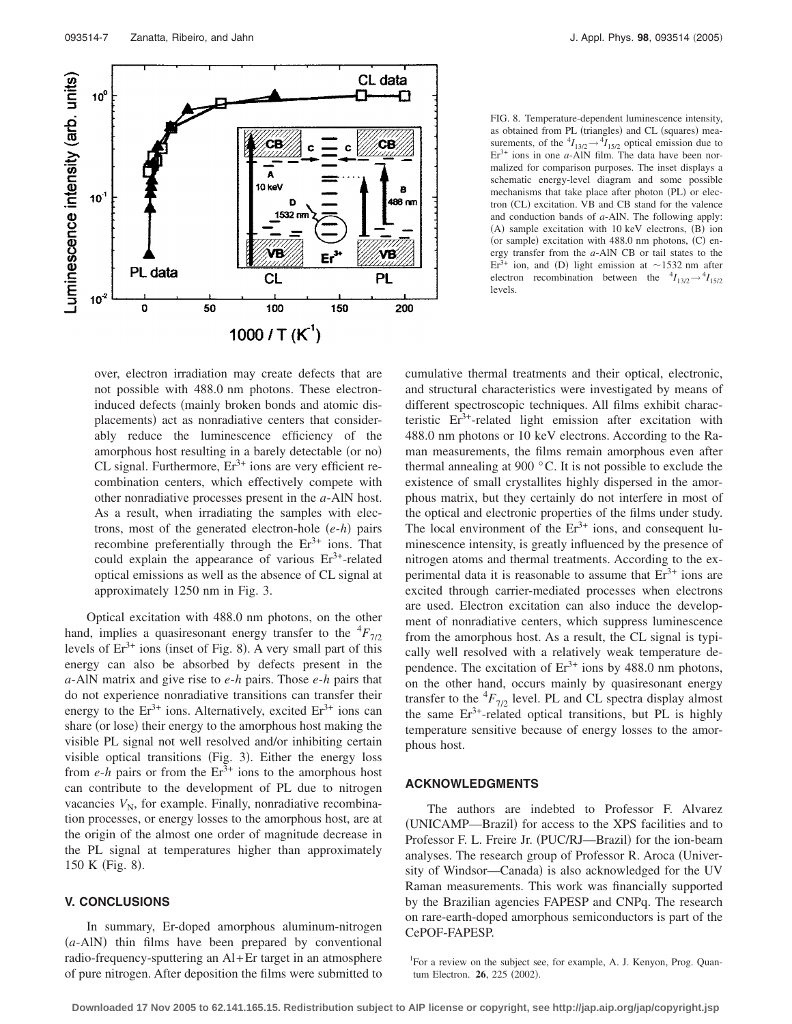

FIG. 8. Temperature-dependent luminescence intensity, as obtained from PL (triangles) and CL (squares) measurements, of the  ${}^4I_{13/2} \rightarrow {}^4I_{15/2}$  optical emission due to  $Er<sup>3+</sup>$  ions in one  $a$ -AlN film. The data have been normalized for comparison purposes. The inset displays a schematic energy-level diagram and some possible mechanisms that take place after photon (PL) or electron (CL) excitation. VB and CB stand for the valence and conduction bands of *a*-AlN. The following apply: (A) sample excitation with 10 keV electrons, (B) ion (or sample) excitation with 488.0 nm photons, (C) energy transfer from the *a*-AlN CB or tail states to the  $Er<sup>3+</sup>$  ion, and (D) light emission at ~1532 nm after electron recombination between the  ${}^{4}I_{13/2} \rightarrow {}^{4}I_{15/2}$ levels.

over, electron irradiation may create defects that are not possible with 488.0 nm photons. These electroninduced defects (mainly broken bonds and atomic displacements) act as nonradiative centers that considerably reduce the luminescence efficiency of the amorphous host resulting in a barely detectable (or no) CL signal. Furthermore,  $Er^{3+}$  ions are very efficient recombination centers, which effectively compete with other nonradiative processes present in the *a*-AlN host. As a result, when irradiating the samples with electrons, most of the generated electron-hole  $(e-h)$  pairs recombine preferentially through the  $Er^{3+}$  ions. That could explain the appearance of various  $Er<sup>3+</sup>$ -related optical emissions as well as the absence of CL signal at approximately 1250 nm in Fig. 3.

Optical excitation with 488.0 nm photons, on the other hand, implies a quasiresonant energy transfer to the  ${}^{4}F_{7/2}$ levels of  $Er^{3+}$  ions (inset of Fig. 8). A very small part of this energy can also be absorbed by defects present in the *a*-AlN matrix and give rise to *e*-*h* pairs. Those *e*-*h* pairs that do not experience nonradiative transitions can transfer their energy to the  $Er^{3+}$  ions. Alternatively, excited  $Er^{3+}$  ions can share (or lose) their energy to the amorphous host making the visible PL signal not well resolved and/or inhibiting certain visible optical transitions (Fig. 3). Either the energy loss from  $e$ -*h* pairs or from the  $Er^{3+}$  ions to the amorphous host can contribute to the development of PL due to nitrogen vacancies  $V_N$ , for example. Finally, nonradiative recombination processes, or energy losses to the amorphous host, are at the origin of the almost one order of magnitude decrease in the PL signal at temperatures higher than approximately 150 K (Fig. 8).

# **V. CONCLUSIONS**

In summary, Er-doped amorphous aluminum-nitrogen (a-AlN) thin films have been prepared by conventional radio-frequency-sputtering an Al+Er target in an atmosphere of pure nitrogen. After deposition the films were submitted to cumulative thermal treatments and their optical, electronic, and structural characteristics were investigated by means of different spectroscopic techniques. All films exhibit characteristic  $Er^{3+}$ -related light emission after excitation with 488.0 nm photons or 10 keV electrons. According to the Raman measurements, the films remain amorphous even after thermal annealing at 900 °C. It is not possible to exclude the existence of small crystallites highly dispersed in the amorphous matrix, but they certainly do not interfere in most of the optical and electronic properties of the films under study. The local environment of the  $Er^{3+}$  ions, and consequent luminescence intensity, is greatly influenced by the presence of nitrogen atoms and thermal treatments. According to the experimental data it is reasonable to assume that  $Er<sup>3+</sup>$  ions are excited through carrier-mediated processes when electrons are used. Electron excitation can also induce the development of nonradiative centers, which suppress luminescence from the amorphous host. As a result, the CL signal is typically well resolved with a relatively weak temperature dependence. The excitation of  $Er^{3+}$  ions by 488.0 nm photons, on the other hand, occurs mainly by quasiresonant energy transfer to the  ${}^4F_{7/2}$  level. PL and CL spectra display almost the same  $Er^{3+}$ -related optical transitions, but PL is highly temperature sensitive because of energy losses to the amorphous host.

#### **ACKNOWLEDGMENTS**

The authors are indebted to Professor F. Alvarez (UNICAMP-Brazil) for access to the XPS facilities and to Professor F. L. Freire Jr. (PUC/RJ-Brazil) for the ion-beam analyses. The research group of Professor R. Aroca University of Windsor-Canada) is also acknowledged for the UV Raman measurements. This work was financially supported by the Brazilian agencies FAPESP and CNPq. The research on rare-earth-doped amorphous semiconductors is part of the CePOF-FAPESP.

<sup>&</sup>lt;sup>1</sup>For a review on the subject see, for example, A. J. Kenyon, Prog. Quantum Electron. **26**, 225 (2002).